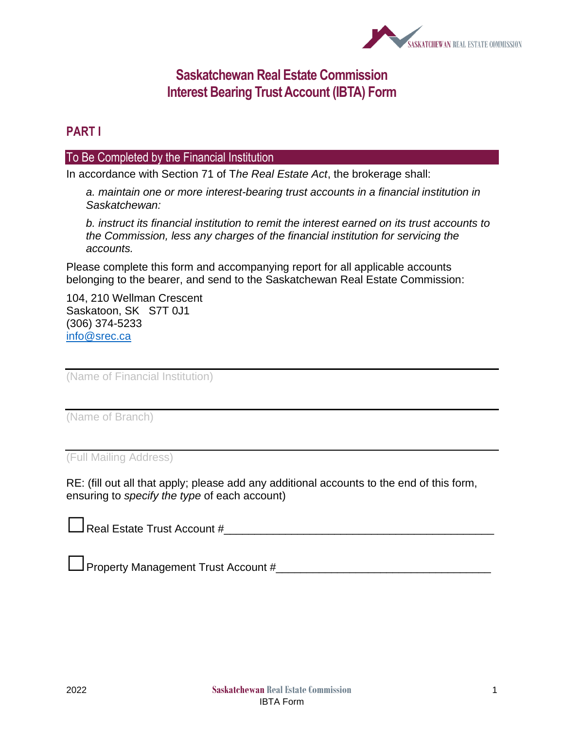

## **Saskatchewan Real Estate Commission Interest Bearing Trust Account (IBTA) Form**

## **PART I**

#### To Be Completed by the Financial Institution

In accordance with Section 71 of T*he Real Estate Act*, the brokerage shall:

*a. maintain one or more interest-bearing trust accounts in a financial institution in Saskatchewan:*

*b. instruct its financial institution to remit the interest earned on its trust accounts to the Commission, less any charges of the financial institution for servicing the accounts.*

Please complete this form and accompanying report for all applicable accounts belonging to the bearer, and send to the Saskatchewan Real Estate Commission:

104, 210 Wellman Crescent Saskatoon, SK S7T 0J1 (306) 374-5233 [info@srec.ca](mailto:info@srec.ca)

(Name of Financial Institution)

(Name of Branch)

(Full Mailing Address)

RE: (fill out all that apply; please add any additional accounts to the end of this form, ensuring to *specify the type* of each account)

| $\Box$ Real Estate Trust Account # |  |  |
|------------------------------------|--|--|
|                                    |  |  |

 $\Box$  Property Management Trust Account # $\Box$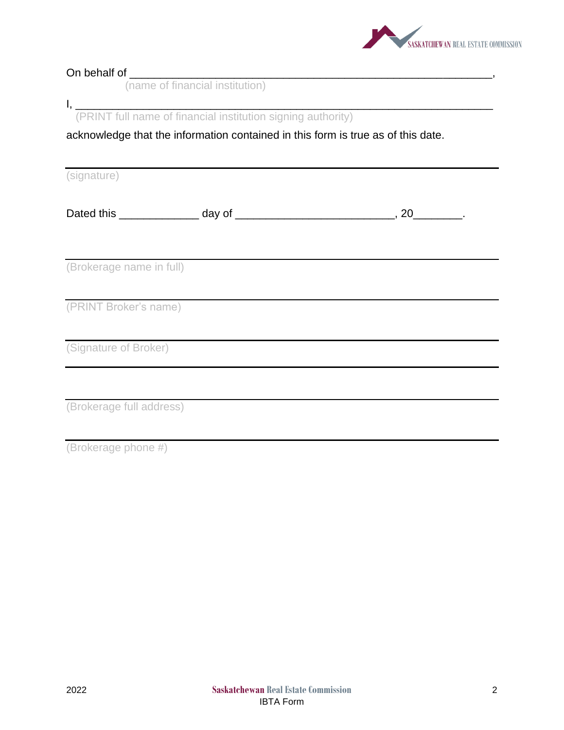

|                          | (name of financial institution)                                                  |  |  |
|--------------------------|----------------------------------------------------------------------------------|--|--|
|                          |                                                                                  |  |  |
|                          | I, (PRINT full name of financial institution signing authority)                  |  |  |
|                          | acknowledge that the information contained in this form is true as of this date. |  |  |
|                          |                                                                                  |  |  |
| (signature)              |                                                                                  |  |  |
|                          |                                                                                  |  |  |
|                          |                                                                                  |  |  |
|                          |                                                                                  |  |  |
|                          |                                                                                  |  |  |
| (Brokerage name in full) |                                                                                  |  |  |
|                          |                                                                                  |  |  |
| (PRINT Broker's name)    |                                                                                  |  |  |
|                          |                                                                                  |  |  |
|                          |                                                                                  |  |  |
| (Signature of Broker)    |                                                                                  |  |  |
|                          |                                                                                  |  |  |
|                          |                                                                                  |  |  |
| (Brokerage full address) |                                                                                  |  |  |
|                          |                                                                                  |  |  |
| (Brokerage phone #)      |                                                                                  |  |  |